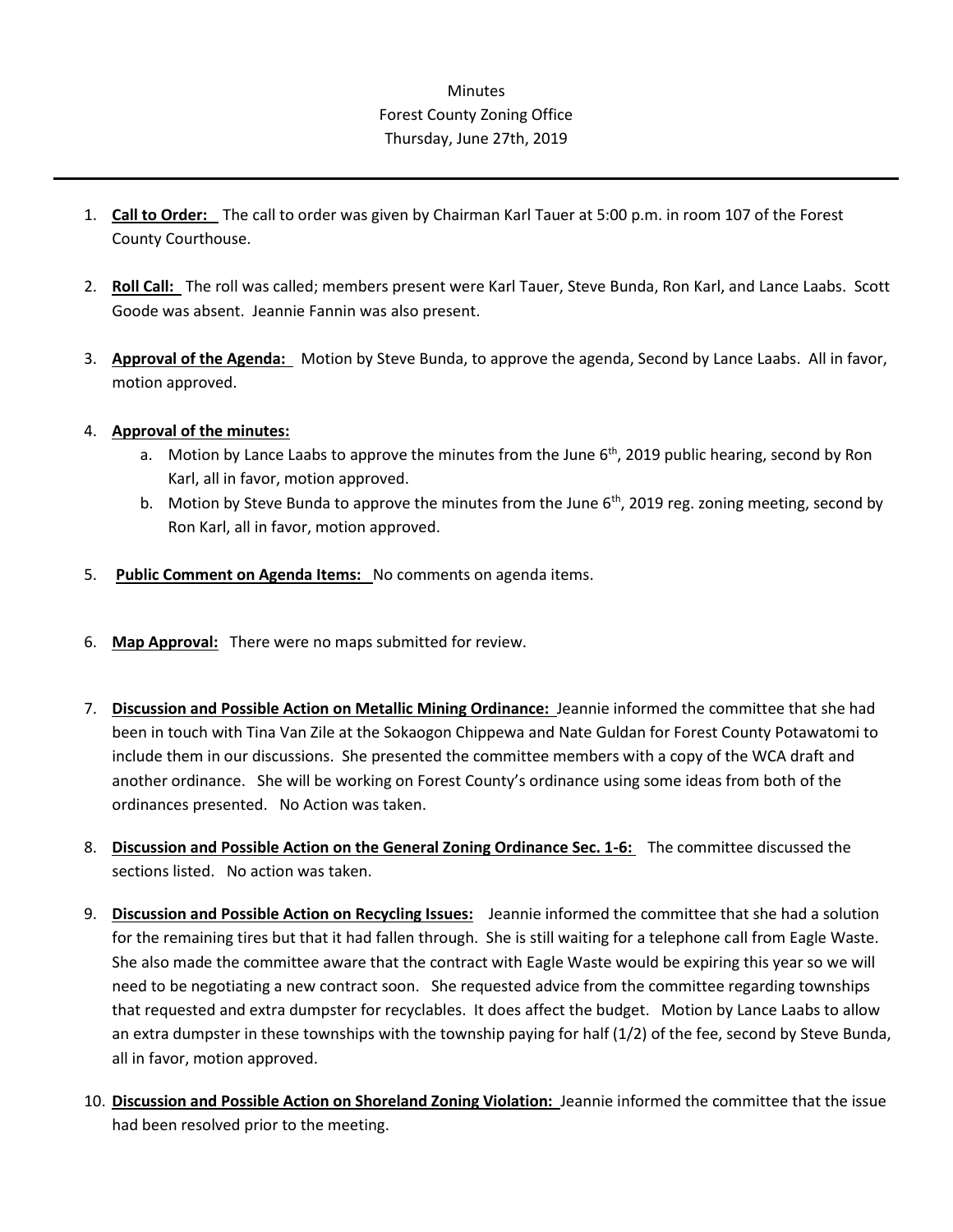## **Minutes** Forest County Zoning Office Thursday, June 27th, 2019

- 1. **Call to Order:** The call to order was given by Chairman Karl Tauer at 5:00 p.m. in room 107 of the Forest County Courthouse.
- 2. **Roll Call:** The roll was called; members present were Karl Tauer, Steve Bunda, Ron Karl, and Lance Laabs. Scott Goode was absent. Jeannie Fannin was also present.
- 3. **Approval of the Agenda:** Motion by Steve Bunda, to approve the agenda, Second by Lance Laabs. All in favor, motion approved.

## 4. **Approval of the minutes:**

- a. Motion by Lance Laabs to approve the minutes from the June  $6<sup>th</sup>$ , 2019 public hearing, second by Ron Karl, all in favor, motion approved.
- b. Motion by Steve Bunda to approve the minutes from the June  $6<sup>th</sup>$ , 2019 reg. zoning meeting, second by Ron Karl, all in favor, motion approved.
- 5. **Public Comment on Agenda Items:** No comments on agenda items.
- 6. **Map Approval:** There were no maps submitted for review.
- 7. **Discussion and Possible Action on Metallic Mining Ordinance:** Jeannie informed the committee that she had been in touch with Tina Van Zile at the Sokaogon Chippewa and Nate Guldan for Forest County Potawatomi to include them in our discussions. She presented the committee members with a copy of the WCA draft and another ordinance. She will be working on Forest County's ordinance using some ideas from both of the ordinances presented. No Action was taken.
- 8. **Discussion and Possible Action on the General Zoning Ordinance Sec. 1-6:** The committee discussed the sections listed. No action was taken.
- 9. **Discussion and Possible Action on Recycling Issues:** Jeannie informed the committee that she had a solution for the remaining tires but that it had fallen through. She is still waiting for a telephone call from Eagle Waste. She also made the committee aware that the contract with Eagle Waste would be expiring this year so we will need to be negotiating a new contract soon. She requested advice from the committee regarding townships that requested and extra dumpster for recyclables. It does affect the budget. Motion by Lance Laabs to allow an extra dumpster in these townships with the township paying for half (1/2) of the fee, second by Steve Bunda, all in favor, motion approved.
- 10. **Discussion and Possible Action on Shoreland Zoning Violation:** Jeannie informed the committee that the issue had been resolved prior to the meeting.